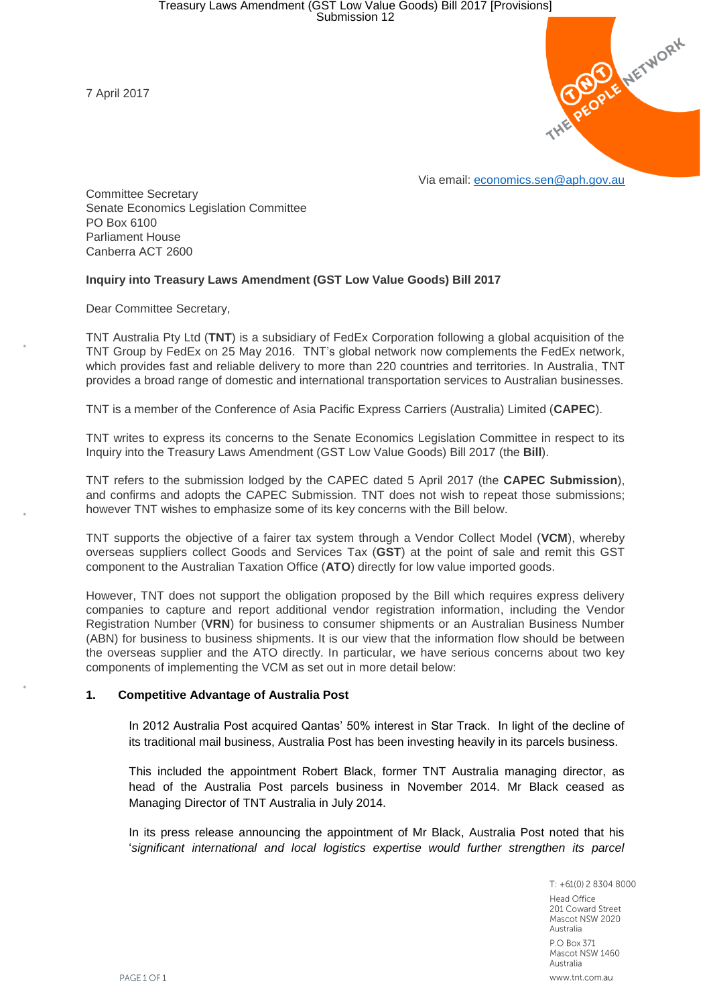7 April 2017



Committee Secretary Senate Economics Legislation Committee PO Box 6100 Parliament House Canberra ACT 2600

## **Inquiry into Treasury Laws Amendment (GST Low Value Goods) Bill 2017**

Dear Committee Secretary,

TNT Australia Pty Ltd (**TNT**) is a subsidiary of FedEx Corporation following a global acquisition of the TNT Group by FedEx on 25 May 2016. TNT's global network now complements the FedEx network, which provides fast and reliable delivery to more than 220 countries and territories. In Australia, TNT provides a broad range of domestic and international transportation services to Australian businesses.

TNT is a member of the Conference of Asia Pacific Express Carriers (Australia) Limited (**CAPEC**).

TNT writes to express its concerns to the Senate Economics Legislation Committee in respect to its Inquiry into the Treasury Laws Amendment (GST Low Value Goods) Bill 2017 (the **Bill**).

TNT refers to the submission lodged by the CAPEC dated 5 April 2017 (the **CAPEC Submission**), and confirms and adopts the CAPEC Submission. TNT does not wish to repeat those submissions; however TNT wishes to emphasize some of its key concerns with the Bill below.

TNT supports the objective of a fairer tax system through a Vendor Collect Model (**VCM**), whereby overseas suppliers collect Goods and Services Tax (**GST**) at the point of sale and remit this GST component to the Australian Taxation Office (**ATO**) directly for low value imported goods.

However, TNT does not support the obligation proposed by the Bill which requires express delivery companies to capture and report additional vendor registration information, including the Vendor Registration Number (**VRN**) for business to consumer shipments or an Australian Business Number (ABN) for business to business shipments. It is our view that the information flow should be between the overseas supplier and the ATO directly. In particular, we have serious concerns about two key components of implementing the VCM as set out in more detail below:

## **1. Competitive Advantage of Australia Post**

In 2012 Australia Post acquired Qantas' 50% interest in Star Track. In light of the decline of its traditional mail business, Australia Post has been investing heavily in its parcels business.

This included the appointment Robert Black, former TNT Australia managing director, as head of the Australia Post parcels business in November 2014. Mr Black ceased as Managing Director of TNT Australia in July 2014.

In its press release announcing the appointment of Mr Black, Australia Post noted that his '*significant international and local logistics expertise would further strengthen its parcel* 

> $T: +61(0)$  2 8304 8000 **Head Office** 201 Coward Street Mascot NSW 2020 Australia P.O Box 371 Mascot NSW 1460 Australia www.tnt.com.au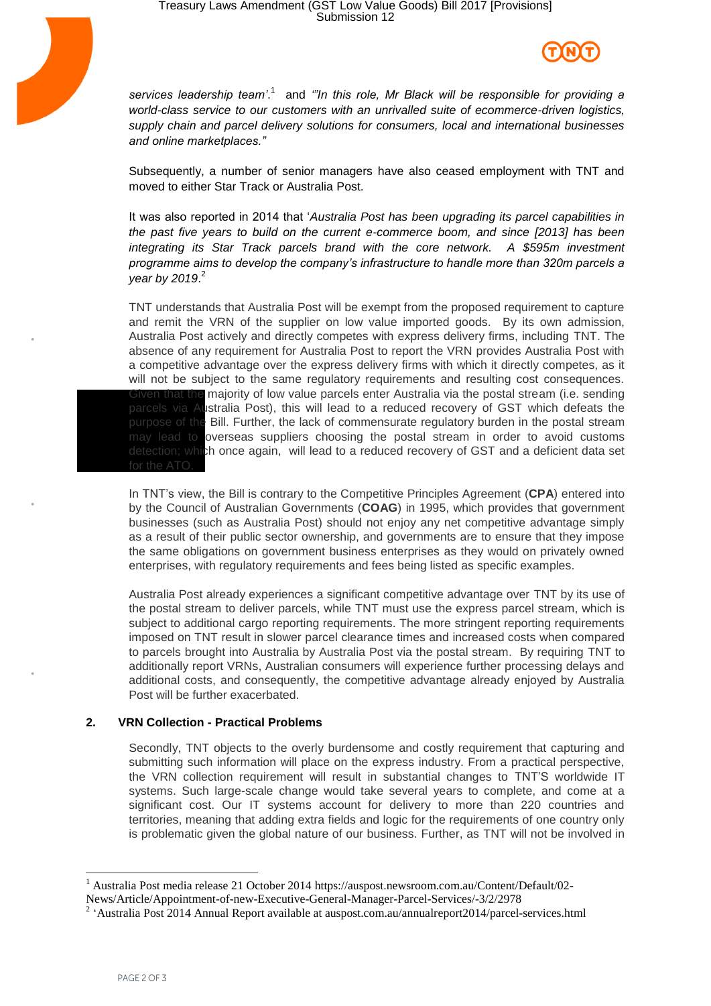



services leadership team'.<sup>1</sup> and "In this role, Mr Black will be responsible for providing a *world-class service to our customers with an unrivalled suite of ecommerce-driven logistics, supply chain and parcel delivery solutions for consumers, local and international businesses and online marketplaces."*

Subsequently, a number of senior managers have also ceased employment with TNT and moved to either Star Track or Australia Post.

It was also reported in 2014 that '*Australia Post has been upgrading its parcel capabilities in the past five years to build on the current e-commerce boom, and since [2013] has been integrating its Star Track parcels brand with the core network. A \$595m investment programme aims to develop the company's infrastructure to handle more than 320m parcels a year by 2019*. 2

TNT understands that Australia Post will be exempt from the proposed requirement to capture and remit the VRN of the supplier on low value imported goods. By its own admission, Australia Post actively and directly competes with express delivery firms, including TNT. The absence of any requirement for Australia Post to report the VRN provides Australia Post with a competitive advantage over the express delivery firms with which it directly competes, as it will not be subject to the same regulatory requirements and resulting cost consequences. **that the majority of low value parcels enter Australia via the postal stream (i.e. sending** parcels via Australia Post), this will lead to a reduced recovery of GST which defeats the purpose of the Bill. Further, the lack of commensurate regulatory burden in the postal stream may lead to overseas suppliers choosing the postal stream in order to avoid customs detection; which once again, will lead to a reduced recovery of GST and a deficient data set

In TNT's view, the Bill is contrary to the Competitive Principles Agreement (**CPA**) entered into by the Council of Australian Governments (**COAG**) in 1995, which provides that government businesses (such as Australia Post) should not enjoy any net competitive advantage simply as a result of their public sector ownership, and governments are to ensure that they impose the same obligations on government business enterprises as they would on privately owned enterprises, with regulatory requirements and fees being listed as specific examples.

Australia Post already experiences a significant competitive advantage over TNT by its use of the postal stream to deliver parcels, while TNT must use the express parcel stream, which is subject to additional cargo reporting requirements. The more stringent reporting requirements imposed on TNT result in slower parcel clearance times and increased costs when compared to parcels brought into Australia by Australia Post via the postal stream. By requiring TNT to additionally report VRNs, Australian consumers will experience further processing delays and additional costs, and consequently, the competitive advantage already enjoyed by Australia Post will be further exacerbated.

## **2. VRN Collection - Practical Problems**

Secondly, TNT objects to the overly burdensome and costly requirement that capturing and submitting such information will place on the express industry. From a practical perspective, the VRN collection requirement will result in substantial changes to TNT'S worldwide IT systems. Such large-scale change would take several years to complete, and come at a significant cost. Our IT systems account for delivery to more than 220 countries and territories, meaning that adding extra fields and logic for the requirements of one country only is problematic given the global nature of our business. Further, as TNT will not be involved in

<sup>1</sup> Australia Post media release 21 October 2014 https://auspost.newsroom.com.au/Content/Default/02-

News/Article/Appointment-of-new-Executive-General-Manager-Parcel-Services/-3/2/2978

<sup>&</sup>lt;sup>2</sup> 'Australia Post 2014 Annual Report available at auspost.com.au/annualreport2014/parcel-services.html